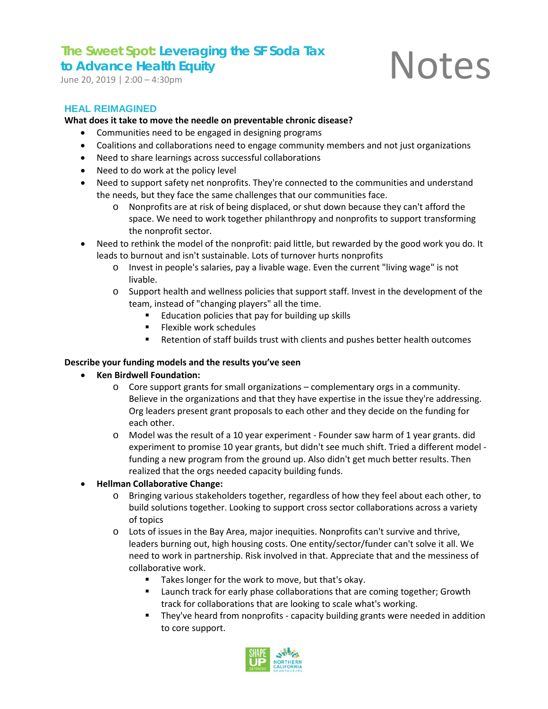# The Sweet Spot: Leveraging the SF Soda Tax<br>
to Advance Health Equity<br>
June 20, 2019 | 2:00 – 4:30pm **to Advance Health Equity**

#### **HEAL REIMAGINED**

#### **What does it take to move the needle on preventable chronic disease?**

- Communities need to be engaged in designing programs
- Coalitions and collaborations need to engage community members and not just organizations
- Need to share learnings across successful collaborations
- Need to do work at the policy level
- Need to support safety net nonprofits. They're connected to the communities and understand the needs, but they face the same challenges that our communities face.
	- o Nonprofits are at risk of being displaced, or shut down because they can't afford the space. We need to work together philanthropy and nonprofits to support transforming the nonprofit sector.
- Need to rethink the model of the nonprofit: paid little, but rewarded by the good work you do. It leads to burnout and isn't sustainable. Lots of turnover hurts nonprofits
	- o Invest in people's salaries, pay a livable wage. Even the current "living wage" is not livable.
	- o Support health and wellness policies that support staff. Invest in the development of the team, instead of "changing players" all the time.
		- Education policies that pay for building up skills
		- **Flexible work schedules**
		- Retention of staff builds trust with clients and pushes better health outcomes

#### **Describe your funding models and the results you've seen**

- **Ken Birdwell Foundation:**
	- o Core support grants for small organizations complementary orgs in a community. Believe in the organizations and that they have expertise in the issue they're addressing. Org leaders present grant proposals to each other and they decide on the funding for each other.
	- o Model was the result of a 10 year experiment Founder saw harm of 1 year grants. did experiment to promise 10 year grants, but didn't see much shift. Tried a different model funding a new program from the ground up. Also didn't get much better results. Then realized that the orgs needed capacity building funds.

#### • **Hellman Collaborative Change:**

- o Bringing various stakeholders together, regardless of how they feel about each other, to build solutions together. Looking to support cross sector collaborations across a variety of topics
- o Lots of issues in the Bay Area, major inequities. Nonprofits can't survive and thrive, leaders burning out, high housing costs. One entity/sector/funder can't solve it all. We need to work in partnership. Risk involved in that. Appreciate that and the messiness of collaborative work.
	- Takes longer for the work to move, but that's okay.
	- Launch track for early phase collaborations that are coming together; Growth track for collaborations that are looking to scale what's working.
	- They've heard from nonprofits capacity building grants were needed in addition to core support.

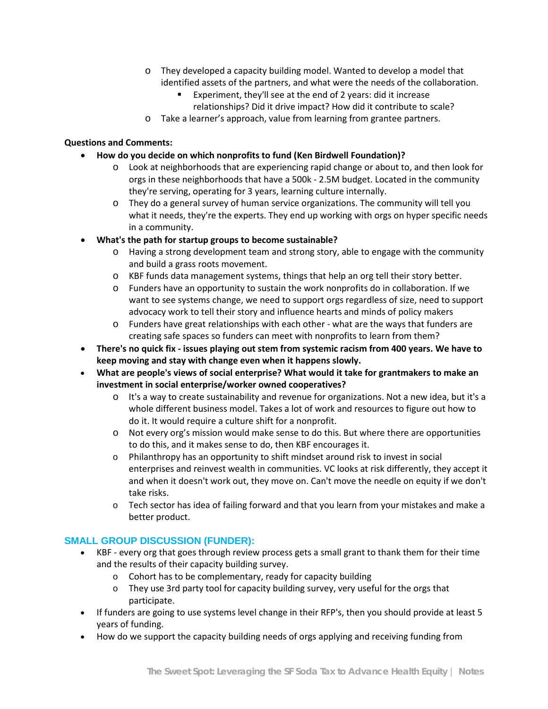- o They developed a capacity building model. Wanted to develop a model that identified assets of the partners, and what were the needs of the collaboration.
	- Experiment, they'll see at the end of 2 years: did it increase relationships? Did it drive impact? How did it contribute to scale?
- o Take a learner's approach, value from learning from grantee partners.

#### **Questions and Comments:**

- **How do you decide on which nonprofits to fund (Ken Birdwell Foundation)?**
	- o Look at neighborhoods that are experiencing rapid change or about to, and then look for orgs in these neighborhoods that have a 500k - 2.5M budget. Located in the community they're serving, operating for 3 years, learning culture internally.
	- o They do a general survey of human service organizations. The community will tell you what it needs, they're the experts. They end up working with orgs on hyper specific needs in a community.
- **What's the path for startup groups to become sustainable?** 
	- o Having a strong development team and strong story, able to engage with the community and build a grass roots movement.
	- o KBF funds data management systems, things that help an org tell their story better.
	- o Funders have an opportunity to sustain the work nonprofits do in collaboration. If we want to see systems change, we need to support orgs regardless of size, need to support advocacy work to tell their story and influence hearts and minds of policy makers
	- $\circ$  Funders have great relationships with each other what are the ways that funders are creating safe spaces so funders can meet with nonprofits to learn from them?
- **There's no quick fix - issues playing out stem from systemic racism from 400 years. We have to keep moving and stay with change even when it happens slowly.**
- **What are people's views of social enterprise? What would it take for grantmakers to make an investment in social enterprise/worker owned cooperatives?**
	- $\circ$  It's a way to create sustainability and revenue for organizations. Not a new idea, but it's a whole different business model. Takes a lot of work and resources to figure out how to do it. It would require a culture shift for a nonprofit.
	- o Not every org's mission would make sense to do this. But where there are opportunities to do this, and it makes sense to do, then KBF encourages it.
	- o Philanthropy has an opportunity to shift mindset around risk to invest in social enterprises and reinvest wealth in communities. VC looks at risk differently, they accept it and when it doesn't work out, they move on. Can't move the needle on equity if we don't take risks.
	- o Tech sector has idea of failing forward and that you learn from your mistakes and make a better product.

### **SMALL GROUP DISCUSSION (FUNDER):**

- KBF every org that goes through review process gets a small grant to thank them for their time and the results of their capacity building survey.
	- o Cohort has to be complementary, ready for capacity building
	- $\circ$  They use 3rd party tool for capacity building survey, very useful for the orgs that participate.
- If funders are going to use systems level change in their RFP's, then you should provide at least 5 years of funding.
- How do we support the capacity building needs of orgs applying and receiving funding from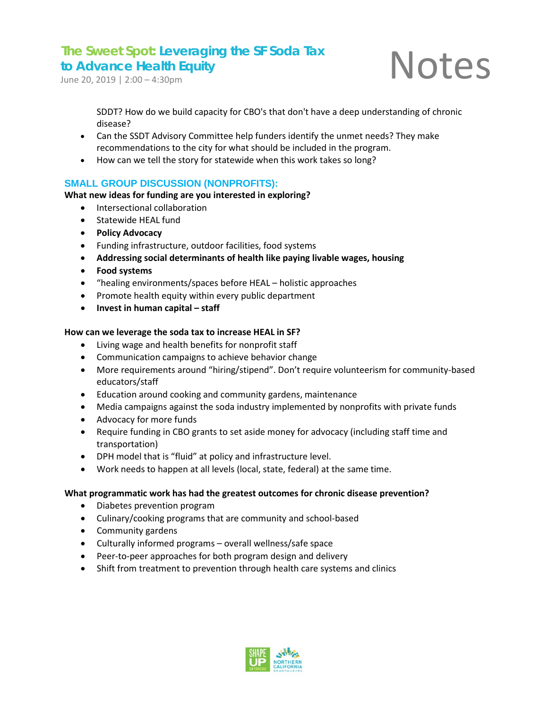# The Sweet Spot: Leveraging the SF Soda Tax<br>
to Advance Health Equity<br>
June 20, 2019 | 2:00 – 4:30pm **to Advance Health Equity**



SDDT? How do we build capacity for CBO's that don't have a deep understanding of chronic disease?

- Can the SSDT Advisory Committee help funders identify the unmet needs? They make recommendations to the city for what should be included in the program.
- How can we tell the story for statewide when this work takes so long?

### **SMALL GROUP DISCUSSION (NONPROFITS):**

#### **What new ideas for funding are you interested in exploring?**

- Intersectional collaboration
- Statewide HEAL fund
- **Policy Advocacy**
- Funding infrastructure, outdoor facilities, food systems
- **Addressing social determinants of health like paying livable wages, housing**
- **Food systems**
- "healing environments/spaces before HEAL holistic approaches
- Promote health equity within every public department
- **Invest in human capital – staff**

#### **How can we leverage the soda tax to increase HEAL in SF?**

- Living wage and health benefits for nonprofit staff
- Communication campaigns to achieve behavior change
- More requirements around "hiring/stipend". Don't require volunteerism for community-based educators/staff
- Education around cooking and community gardens, maintenance
- Media campaigns against the soda industry implemented by nonprofits with private funds
- Advocacy for more funds
- Require funding in CBO grants to set aside money for advocacy (including staff time and transportation)
- DPH model that is "fluid" at policy and infrastructure level.
- Work needs to happen at all levels (local, state, federal) at the same time.

#### **What programmatic work has had the greatest outcomes for chronic disease prevention?**

- Diabetes prevention program
- Culinary/cooking programs that are community and school-based
- Community gardens
- Culturally informed programs overall wellness/safe space
- Peer-to-peer approaches for both program design and delivery
- Shift from treatment to prevention through health care systems and clinics

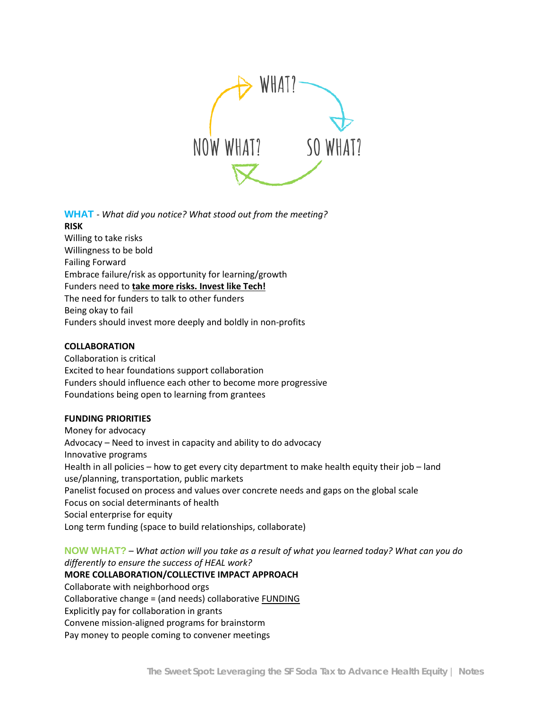

**WHAT** *- What did you notice? What stood out from the meeting?* **RISK** Willing to take risks

Willingness to be bold Failing Forward Embrace failure/risk as opportunity for learning/growth Funders need to **take more risks. Invest like Tech!** The need for funders to talk to other funders Being okay to fail Funders should invest more deeply and boldly in non-profits

#### **COLLABORATION**

Collaboration is critical Excited to hear foundations support collaboration Funders should influence each other to become more progressive Foundations being open to learning from grantees

### **FUNDING PRIORITIES**

Money for advocacy Advocacy – Need to invest in capacity and ability to do advocacy Innovative programs Health in all policies – how to get every city department to make health equity their job – land use/planning, transportation, public markets Panelist focused on process and values over concrete needs and gaps on the global scale Focus on social determinants of health Social enterprise for equity Long term funding (space to build relationships, collaborate)

#### **NOW WHAT?** *– What action will you take as a result of what you learned today? What can you do differently to ensure the success of HEAL work?*

**MORE COLLABORATION/COLLECTIVE IMPACT APPROACH** Collaborate with neighborhood orgs Collaborative change = (and needs) collaborative FUNDING Explicitly pay for collaboration in grants Convene mission-aligned programs for brainstorm Pay money to people coming to convener meetings